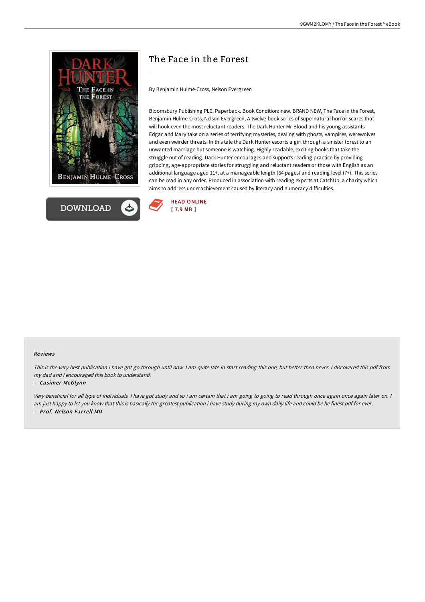



# The Face in the Forest

By Benjamin Hulme-Cross, Nelson Evergreen

Bloomsbury Publishing PLC. Paperback. Book Condition: new. BRAND NEW, The Face in the Forest, Benjamin Hulme-Cross, Nelson Evergreen, A twelve-book series of supernatural horror scares that will hook even the most reluctant readers. The Dark Hunter Mr Blood and his young assistants Edgar and Mary take on a series of terrifying mysteries, dealing with ghosts, vampires, werewolves and even weirder threats. In this tale the Dark Hunter escorts a girl through a sinister forest to an unwanted marriage.but someone is watching. Highly readable, exciting books that take the struggle out of reading, Dark Hunter encourages and supports reading practice by providing gripping, age-appropriate stories for struggling and reluctant readers or those with English as an additional language aged 11+, at a manageable length (64 pages) and reading level (7+). This series can be read in any order. Produced in association with reading experts at CatchUp, a charity which aims to address underachievement caused by literacy and numeracy difficulties.



#### Reviews

This is the very best publication i have got go through until now. I am quite late in start reading this one, but better then never. I discovered this pdf from my dad and i encouraged this book to understand.

#### -- Casimer McGlynn

Very beneficial for all type of individuals. <sup>I</sup> have got study and so i am certain that i am going to going to read through once again once again later on. <sup>I</sup> am just happy to let you know that this is basically the greatest publication i have study during my own daily life and could be he finest pdf for ever. -- Prof. Nelson Farrell MD